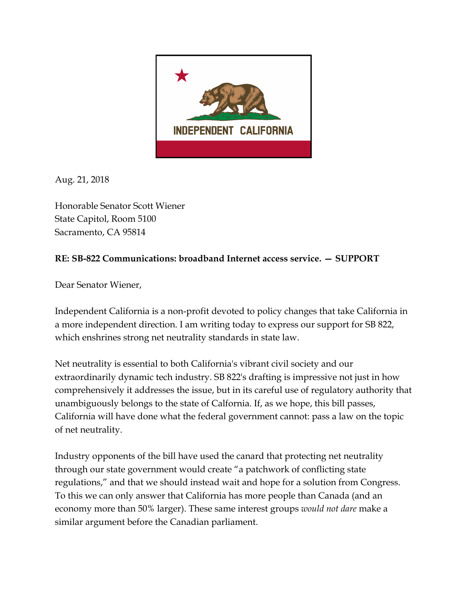

Aug. 21, 2018

Honorable Senator Scott Wiener State Capitol, Room 5100 Sacramento, CA 95814

## **RE: SB822 Communications: broadband Internet access service. — SUPPORT**

Dear Senator Wiener,

Independent California is a non-profit devoted to policy changes that take California in a more independent direction. I am writing today to express our support for SB 822, which enshrines strong net neutrality standards in state law.

Net neutrality is essential to both California's vibrant civil society and our extraordinarily dynamic tech industry. SB 822's drafting is impressive not just in how comprehensively it addresses the issue, but in its careful use of regulatory authority that unambiguously belongs to the state of Calfornia. If, as we hope, this bill passes, California will have done what the federal government cannot: pass a law on the topic of net neutrality.

Industry opponents of the bill have used the canard that protecting net neutrality through our state government would create "a patchwork of conflicting state regulations," and that we should instead wait and hope for a solution from Congress. To this we can only answer that California has more people than Canada (and an economy more than 50% larger). These same interest groups *would not dare* make a similar argument before the Canadian parliament.